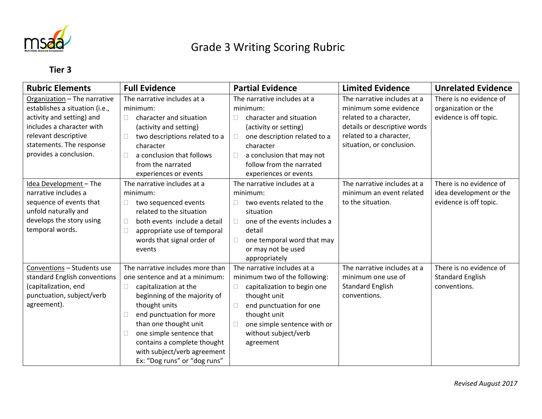

## Grade 3 Writing Scoring Rubric

## **Tier 3**

| <b>Rubric Elements</b>                                                                                                                                                                                 | <b>Full Evidence</b>                                                                                                                                                                                                                                                                                                                                      | <b>Partial Evidence</b>                                                                                                                                                                                                                                  | <b>Limited Evidence</b>                                                                                                                                                 | <b>Unrelated Evidence</b>                                                    |
|--------------------------------------------------------------------------------------------------------------------------------------------------------------------------------------------------------|-----------------------------------------------------------------------------------------------------------------------------------------------------------------------------------------------------------------------------------------------------------------------------------------------------------------------------------------------------------|----------------------------------------------------------------------------------------------------------------------------------------------------------------------------------------------------------------------------------------------------------|-------------------------------------------------------------------------------------------------------------------------------------------------------------------------|------------------------------------------------------------------------------|
| Organization - The narrative<br>establishes a situation (i.e.,<br>activity and setting) and<br>includes a character with<br>relevant descriptive<br>statements. The response<br>provides a conclusion. | The narrative includes at a<br>minimum:<br>character and situation<br>П.<br>(activity and setting)<br>two descriptions related to a<br>character<br>a conclusion that follows<br>П<br>from the narrated<br>experiences or events                                                                                                                          | The narrative includes at a<br>minimum:<br>character and situation<br>$\Box$<br>(activity or setting)<br>one description related to a<br>$\Box$<br>character<br>a conclusion that may not<br>$\Box$<br>follow from the narrated<br>experiences or events | The narrative includes at a<br>minimum some evidence<br>related to a character,<br>details or descriptive words<br>related to a character,<br>situation, or conclusion. | There is no evidence of<br>organization or the<br>evidence is off topic.     |
| Idea Development - The<br>narrative includes a<br>sequence of events that<br>unfold naturally and<br>develops the story using<br>temporal words.                                                       | The narrative includes at a<br>minimum:<br>two sequenced events<br>$\Box$<br>related to the situation<br>both events include a detail<br>$\Box$<br>appropriate use of temporal<br>П<br>words that signal order of<br>events                                                                                                                               | The narrative includes at a<br>minimum:<br>two events related to the<br>$\Box$<br>situation<br>one of the events includes a<br>$\Box$<br>detail<br>one temporal word that may<br>$\Box$<br>or may not be used<br>appropriately                           | The narrative includes at a<br>minimum an event related<br>to the situation.                                                                                            | There is no evidence of<br>idea development or the<br>evidence is off topic. |
| Conventions - Students use<br>standard English conventions<br>(capitalization, end<br>punctuation, subject/verb<br>agreement).                                                                         | The narrative includes more than<br>one sentence and at a minimum:<br>capitalization at the<br>$\Box$<br>beginning of the majority of<br>thought units<br>end punctuation for more<br>$\Box$<br>than one thought unit<br>one simple sentence that<br>$\Box$<br>contains a complete thought<br>with subject/verb agreement<br>Ex: "Dog runs" or "dog runs" | The narrative includes at a<br>minimum two of the following:<br>capitalization to begin one<br>$\Box$<br>thought unit<br>end punctuation for one<br>$\Box$<br>thought unit<br>one simple sentence with or<br>$\Box$<br>without subject/verb<br>agreement | The narrative includes at a<br>minimum one use of<br><b>Standard English</b><br>conventions.                                                                            | There is no evidence of<br><b>Standard English</b><br>conventions.           |